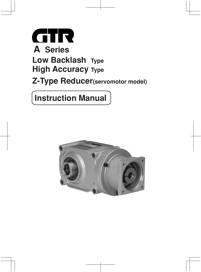

## **Z-Type Reducer(servomotor model)**

## **Instruction Manual**

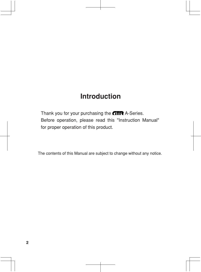## **Introduction**

Thank you for your purchasing the  $GTR$  A-Series. Before operation, please read this "Instruction Manual" for proper operation of this product.

The contents of this Manual are subject to change without any notice.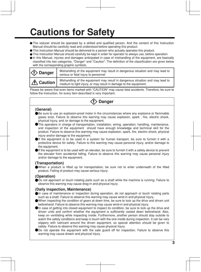## **Cautions for Safety**

- The reducer should be operated by a skilled and qualified person. And the content of this Instruction Manual should be carefully read and understood before operating this product.
- This Instruction Manual should be delivered to a person who actually operates this product.
- This Instruction Manual should carefully be kept in order for operator to always use, before operation.
- In this Manual, injuries and damages anticipated in case of mishandling of the equipment, are basically classified into two categories, "Danger" and "Caution". The definition of the classification are given below with the corresponding graphic symbols.

| $\langle \Omega \rangle$ Danger | Mishandling of the equipment may result in dangerous situation and may lead to<br>serious or fatal injury to personnel                              |
|---------------------------------|-----------------------------------------------------------------------------------------------------------------------------------------------------|
| $ \mathcal{A}$ Caution $ $      | Mishandling of the equipment may result in dangerous situation and may lead to<br>medium to light injury, or may result in damage to the equipment. |

Please be aware that even items marked with "CAUTION" may cause fatal accidents. Therefore, be sure to follow the instruction, for every item described is very important.

### **Danger**

#### **(General)**

- Be sure to use an explosion-proof motor in the circumstances where any explosive or flammable gases exist. Failure to observe this warning may cause explosion, spark , fire, electric shock, physical injury, and /or damage to the equipment.
- The operators in charge of transportation, installation, wiring, operation, handling, maintenance, and inspection of the equipment should have enough knowledge and technical skill for the product. Failure to observe this warning may cause explosion, spark, fire, electric shock, physical injury and/or damage to the equipment.
- If the equipment is to be used in a system for human transport, be sure to furnish it with a protective device for safety. Failure to this warning may cause personal injury, and/or damage to the equipment.
- If the equipment is to be used with an elevator, be sure to furnish it with a safety device to prevent the elevator from accidental falling. Failure to observe this warning may cause personal injury and/or damage to the equipment.

#### **(Transportation)**

When a product is lifted up for transportation, be sure not to enter underneath of the lifted product. Falling of product may cause serious injury.

#### **(Operation)**

Do not approach or touch rotating parts such as a shaft while the machine is running. Failure to observe this warning may cause drag-in and physical injury.

#### **(Daily inspection, Maintenance)**

- In case of maintenance or inspection during operation, do not approach or touch rotating parts such as a shaft. Failure to observe this warning may cause wind-in and physical injury.
- When inspecting the condition of gears at down time, be sure to lock up the drive and driven unit beforehand. Failure to observe this warning may cause wind-in and physical injury.
- In case of getting into closed equipment to inspect its condition, be sure to lock up the drive and driven units and confirm whether the equipment is sufficiently cooled down beforehand. Also, keep on ventilating while inspecting inside. Furthermore, another person should stay outside to watch the safety conditions and keep in touch with the one inside during inspection. It can be very slippery with lubricant around the driven equipment, so special attention should be given to safety. Failure to observe this warning may cause physical injury.
- Do not operate the equipment with the safe guard off for inspection. Failure to observe this warning may cause drawin and physical injury.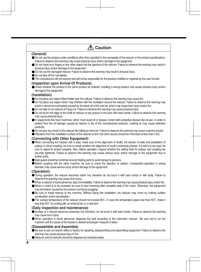| 个 Caution                                                                                                                                                                                                                                                                                                                                                                                                                                                                                                                                                                                                                                                                                                                                                                                                                                                                                                                                                                                                                                        |
|--------------------------------------------------------------------------------------------------------------------------------------------------------------------------------------------------------------------------------------------------------------------------------------------------------------------------------------------------------------------------------------------------------------------------------------------------------------------------------------------------------------------------------------------------------------------------------------------------------------------------------------------------------------------------------------------------------------------------------------------------------------------------------------------------------------------------------------------------------------------------------------------------------------------------------------------------------------------------------------------------------------------------------------------------|
| (General)                                                                                                                                                                                                                                                                                                                                                                                                                                                                                                                                                                                                                                                                                                                                                                                                                                                                                                                                                                                                                                        |
| ● Do not use the product under conditions other than specified in the nameplate of the reducer or the product specifications.<br>Failure to observe this warning may cause physical injury and/or damage to the equipment.<br>• Do not insert your fingers or any other object into the aperture of the reducer. Failure to observe this warning may result in<br>physical injury and/or damage to the equipment.<br>● Do not use the damaged reducer. Failure to observe this warning may result in physical injury.<br>● Do not take off the nameplate.                                                                                                                                                                                                                                                                                                                                                                                                                                                                                        |
| • The manufacturer will not warrant and will not be responsible for the product modified or repaired by the user himself.                                                                                                                                                                                                                                                                                                                                                                                                                                                                                                                                                                                                                                                                                                                                                                                                                                                                                                                        |
| (Inspection upon Arrival Of Products)<br>• Check whether the product is the same product as ordered. Installing a wrong product may cause physical injury and/or<br>damage to the equipment.                                                                                                                                                                                                                                                                                                                                                                                                                                                                                                                                                                                                                                                                                                                                                                                                                                                     |
| (Installation)<br>Do not place any object inflammable near the reducer. Failure to observe this warning may cause fire.<br>● Do not place any object which may interfere with the ventilation around the reducer. Failure to observe this warning may<br>result in abnormal overheating caused by the block off of the cool air, which may cause burn injury and/or fire.<br>● Do not step on an reducer or hang to it. Failure to observe this warning may cause physical injury.<br>● Do not touch the edge of the shaft of reducer or key groove in the bore with bare hands. Failure to observe this warning<br>may cause physical injury.<br>In equipments like food machines, which must avoid oil or grease, furnish with protective devices like oil pan, in order to<br>protect from the oil leakage caused by failures or life of the manufactured products. Leaking oil may cause defective<br>products.<br>● Do not give any shock to the reducer like hitting by hammer. Failure to observe this warning may cause machine trouble. |
| • Vibrations from the installation surface of the reducer or from the other source should be minimized at less than 0.5G.                                                                                                                                                                                                                                                                                                                                                                                                                                                                                                                                                                                                                                                                                                                                                                                                                                                                                                                        |
| (Connecting with Other Equipment)<br>When connecting the reducer with a load, make sure of the alignment of shafts, the tension of belts and parallelism of<br>pulleys. In direct coupling, be sure to check whether the alignment of shaft is extremely precise. If a belt is to be used, be<br>sure to adjust its tension properly. Also, before operation, inspect whether the setting bolts for pulleys and coupling are<br>securely tightened. Failure to observe this warning may cause serious injury and/or damage to the equipment due to<br>broken parts.                                                                                                                                                                                                                                                                                                                                                                                                                                                                              |
| • Safe guard should be furnished around rotating parts to avoid danger to persons.<br>● Before coupling with the other machine, be sure to check the direction of rotation. Unexpected operation in wrong<br>direction may cause serious injury and/or damage to the equipment.                                                                                                                                                                                                                                                                                                                                                                                                                                                                                                                                                                                                                                                                                                                                                                  |
| (Operation)<br>• During operation, the reducer becomes rather hot, therefore do not touch it with bare hands or with body. Failure to<br>observe this warning may cause burn injury.<br>• When a reducer is found abnormal, stop it immediately. Failure to observe this warning may cause physical injury and/or fire.<br>• When a motor is to be reversed, be sure to start reversing after complete stop of the motor. Otherwise, the equipment<br>may be broken caused by the reverse running by plugging.                                                                                                                                                                                                                                                                                                                                                                                                                                                                                                                                   |
| • Be sure to install reducer to the machine. Without doing this installation, the reducer may move by making sudden<br>acceleration and/or deceleration.<br>• The surface temperature of the reducer should not exceed 90°C. In case the temperature goes over than 90°C, make it<br>less than 90°C by cooling with an external fan or a heat sink.                                                                                                                                                                                                                                                                                                                                                                                                                                                                                                                                                                                                                                                                                              |
| (Daily inspection and maintenance)                                                                                                                                                                                                                                                                                                                                                                                                                                                                                                                                                                                                                                                                                                                                                                                                                                                                                                                                                                                                               |
| Surface of a reducer becomes extremely hot, therefore, do not touch it with bare hands. Failure to observe this warning<br>may cause burn injury.                                                                                                                                                                                                                                                                                                                                                                                                                                                                                                                                                                                                                                                                                                                                                                                                                                                                                                |
| • When operation is found abnormal, diagnose the fault according to the instruction manual. Be sure not to run the<br>machine until the cause of the trouble is cleared and proper measure is taken.                                                                                                                                                                                                                                                                                                                                                                                                                                                                                                                                                                                                                                                                                                                                                                                                                                             |
| (Disassemble and Assemble)<br>• Be sure to ask our branch office or factory for repairing, disassembling and assembling equipment. Failure to observe this                                                                                                                                                                                                                                                                                                                                                                                                                                                                                                                                                                                                                                                                                                                                                                                                                                                                                       |

- warning may cause physical injury or fire.
- Reducer and its lubricant should be disposed as industrial waste.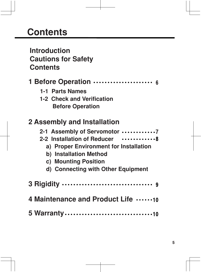## **Contents**

## **Introduction Cautions for Safety Contents**

- **1 Before Operation**
	- **1-1 Parts Names**
	- **1-2 Check and Verification Before Operation**

## **2 Assembly and Installation**

| 2-1 Assembly of Servomotor 7           |
|----------------------------------------|
| 2-2 Installation of Reducer  8         |
| a) Proper Environment for Installation |
| b) Installation Method                 |
| c) Mounting Position                   |
| d) Connecting with Other Equipment     |
|                                        |
| 4 Maintenance and Product Life 10      |
|                                        |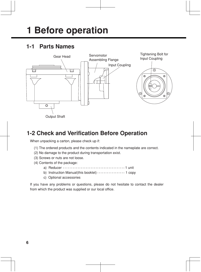# **1 Before operation**

## **1-1 Parts Names**



### **1-2 Check and Verification Before Operation**

When unpacking a carton, please check up if:

- (1) The ordered products and the contents indicated in the nameplate are correct.
- (2) No damage to the product during transportation exist.
- (3) Screws or nuts are not loose.
- (4) Contents of the package:
	- a) Reducer 1 unit
	- b) Instruction Manual(this booklet) 1 copy
	- c) Optional accessories

If you have any problems or questions, please do not hesitate to contact the dealer from which the product was supplied or our local office.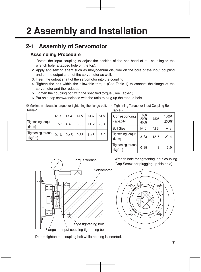## **2-1 Assembly of Servomotor**

#### **Assembling Procedure**

- 1. Rotate the input coupling to adjust the position of the bolt head of the coupling to the wrench hole (a tapped hole on the top).
- 2. Apply anti-seizing agent such as molybdenum disulfide on the bore of the input coupling and on the output shaft of the servomotor as well.
- 3. Insert the output shaft of the servomotor into the coupling.
- 4. Tighten the bolt within the allowable torque (See Table-1) to connect the flange of the servomotor and the reducer.
- 5. Tighten the coupling bolt with the specified torque (See Table-2).
- 6. Put on a cap screw(enclosed with the unit) to plug up the tapped hole.

※Maximum allowable torque for tightening the flange bolt: Table-1

| XX Tightening Torque for Input Coupling Bolt |  |  |  |
|----------------------------------------------|--|--|--|
| Table-2                                      |  |  |  |

|                                | M <sub>3</sub> | M <sub>4</sub> | M 5  | M 6  | $M_8$ | Сc                       |
|--------------------------------|----------------|----------------|------|------|-------|--------------------------|
| Tightening torque              | 1.57           | 4.41           | 8.33 | 14.2 | 29.4  | ca                       |
| $(N-m)$                        |                |                |      |      |       | Bo                       |
| Tightening torque<br>$(kgf-m)$ | 0.16           | 0.45           | 0.85 | 1.45 | 3.0   | Tig<br>(N <sup>1</sup> ) |
|                                |                |                |      |      |       |                          |

| Corresponding<br>capacity      | <b>100W</b><br><b>200W</b><br>400W | <b>750W</b> | 1000W<br><b>2000W</b> |
|--------------------------------|------------------------------------|-------------|-----------------------|
| <b>Bolt Size</b>               | M 5                                | M 6         | M 8                   |
| Tightening torque<br>$(N-m)$   | 8.33                               | 12.7        | 29.4                  |
| Tightening torque<br>$(kgf-m)$ | 0.85                               | 1.3         | 3.0                   |



Wrench hole for tightening input coupling (Cap Screw: for plugging up this hole)



Do not tighten the coupling bolt while nothing is inserted.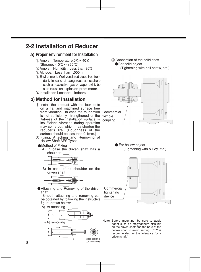### **2-2 Installation of Reducer**

#### **a) Proper Environment for Installation**

- $\odot$  Ambient Temperature:0 $\degree$ C ~40 $\degree$ C (Storage:  $-10^{\circ}$ C  $\sim +60^{\circ}$ C)
- Ambient Humidity: Less than 85%
- Altitude: Less than 1,000m
- Environment: Well ventilated place free from dust. In case of dangerous atmosphere such as explosive gas or vapor exist, be sure to use an explosion-proof motor.
- Installation Location: Indoors

#### **b) Method for Installation**

- Install the product with the four bolts on a flat and machined surface free from vibration. In case the foundation Commercial is not sufficiently strengthened or the flexible flatness of the installation surface is insufficient, vibration during operation may come out, which may shorten the reducer's life. (Roughness of the surface should be less than 0.1mm.)
- 2 Fixing, Attaching and Removing of Hollow Shaft AFS Type:

#### Method of Fixing

 A) In case the driven shaft has a shoulder:



 B) In case of no shoulder on the driven shaft:



Attaching and Removing of the driven shaft

 Smooth attaching and removing can be obtained by following the instructive figure drawn below:









Connection of the solid shaft **•** For solid object (Tightening with ball screw, etc.)



For hollow object (Tightening with pulley, etc.)



(Note) Before mounting, be sure to apply agent such as molybdenum disulfide on the driven shaft and the bore of the hollow shaft to avoid seizing. ("h7" is recommended as the tolerance for a driven shaft.)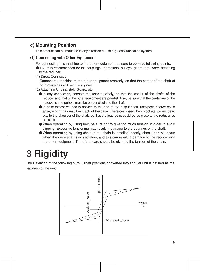#### **c) Mounting Position**

This product can be mounted in any direction due to a grease lubrication system.

#### **d) Connecting with Other Equipment**

For connecting this machine to the other equipment, be sure to observe following points:

"H7" fit is recommended for the couplings, sprockets, pulleys, gears, etc. when attaching to the reducer.

(1) Direct Connection

Connect the machine to the other equipment precisely, so that the center of the shaft of both machines will be fully aligned.

- (2) Attaching Chains, Belt, Gears, etc.
	- In any connection, connect the units precisely, so that the center of the shafts of the reducer and that of the other equipment are parallel. Also, be sure that the centerline of the sprockets and pulleys must be perpendicular to the shaft.
	- In case excessive load is applied to the end of the output shaft, unexpected force could arise, which may result in crack of the case. Therefore, insert the sprockets, pulley, gear, etc. to the shoulder of the shaft, so that the load point could be as close to the reducer as possible.
	- When operating by using belt, be sure not to give too much tension in order to avoid slipping. Excessive tensioning may result in damage to the bearings of the shaft.
	- When operating by using chain, if the chain is installed loosely, shock load will occur when the drive shaft starts rotation, and this can result in damage to the reducer and the other equipment. Therefore, care should be given to the tension of the chain.

# **3 Rigidity**

The Deviation of the following output shaft positions converted into angular unit is defined as the backlash of the unit.

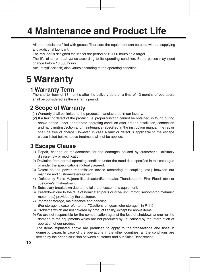# **4 Maintenance and Product Life**

All the models are filled with grease. Therefore the equipment can be used without supplying any additional lubricant.

The reducer is designed for use for the period of 10,000 hours as a target.

The life of an oil seal varies according to its operating condition. Some pieces may need change before 10,000 hours.

Accuracy(Backlash) also varies according to the operating condition.

## **5 Warranty**

### **1 Warranty Term**

The shorter term of 18 months after the delivery date or a time of 12 months of operation, shall be considered as the warranty period.

## **2 Scope of Warranty**

- (1) Warranty shall be limited to the products manufactured in our factory.
- (2) If a fault or defect of the product, i.e. proper function cannot be obtained, is found during above period under appropriate operating condition after proper installation, connection and handling(inspection and maintenance) specified in the instruction manual, the repair shall be free of charge. However, in case a fault or defect is applicable to the escape clause listed below, above treatment will not be applied.

## **3 Escape Clause**

- 1) Repair, change or replacements for the damages caused by customer's arbitrary disassembly or modification.
- 2) Deviation from normal operating condition under the rated data specified in this catalogue or under the specifications mutually agreed.
- 3) Defect on the power transmission device (centering of coupling, etc.) between our machine and customer's equipment.
- 4) Defects by Force Majeure like disaster(Earthquake, Thunderstorm, Fire, Flood, etc.) or customer's mistreatment.
- 5) Subsidiary breakdown due to the failure of customer's equipment.
- 6) Breakdown due to the fault of nominated parts or drive unit (motor, servomotor, hydraulic motor, etc.) provided by the customer.
- 7) Improper storage, maintenance and handling. (For storage, please refer to the "Cautions on gearmotor storage" in P. 11)
- 8) Problems which are not covered by product liability, except for above items.
- 9) We are not responsible for the compensation against the loss of shutdown and/or for the damage to the equipments which are not produced by us, caused by the interruption of operation of our product.
- ・The items stipulated above are premised to apply to the transactions and uses in domestic Japan. In case of the operations in the other countries, all the conditions are settled by the prior discussion between customer and our Sales Department.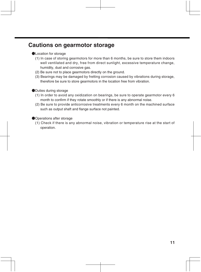### **Cautions on gearmotor storage**

#### **●**Location for storage

- (1) In case of storing gearmotors for more than 6 months, be sure to store them indoors well ventilated and dry, free from direct sunlight, excessive temperature change, humidity, dust and corrosive gas.
- (2) Be sure not to place gearmotors directly on the ground.
- (3) Bearings may be damaged by fretting corrosion caused by vibrations during storage, therefore be sure to store gearmotors in the location free from vibration.

#### **●**Duties during storage

- (1) In order to avoid any oxidization on bearings, be sure to operate gearmotor every 6 month to confirm if they rotate smoothly or if there is any abnormal noise.
- (2) Be sure to provide anticorrosive treatments every 6 month on the machined surface such as output shaft and flange surface not painted.

#### **●**Operations after storage

(1) Check if there is any abnormal noise, vibration or temperature rise at the start of operation.